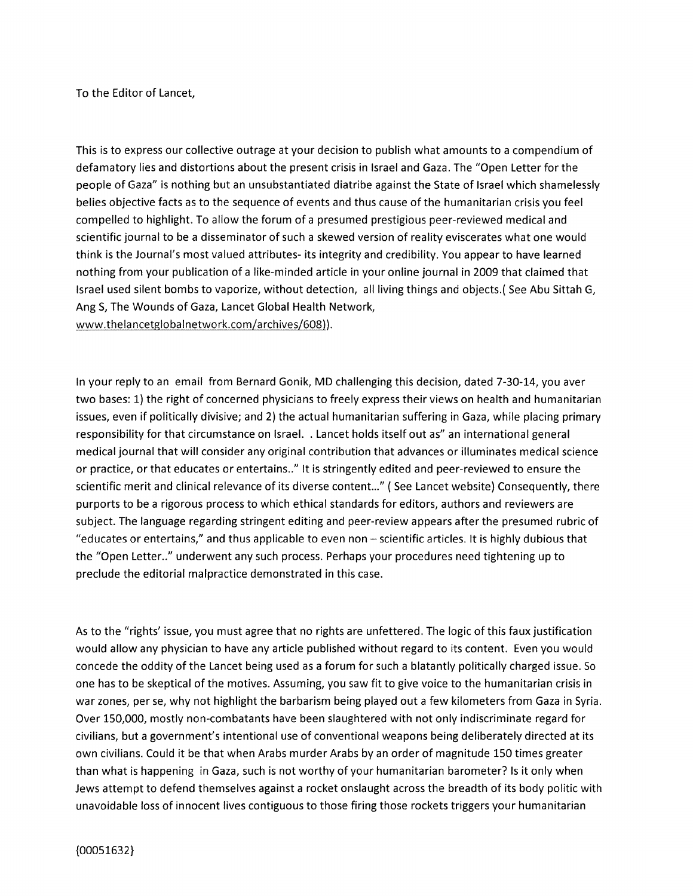To the Editor of Lancet,

This is to express our collective outrage at your decision to publish what amounts to a compendium of defamatory lies and distortions about the present crisis in Israel and Gaza. The "Open Letter for the people of Gaza" is nothing but an unsubstantiated diatribe against the State of Israel which shamelessly belies objective facts as to the sequence of events and thus cause of the humanitarian crisis you feel compelled to highlight. To allow the forum of a presumed prestigious peer-reviewed medical and scientific journal to be a disseminator of such a skewed version of reality eviscerates what one would think is the Journal's most valued attributes- its integrity and credibility. You appear to have learned nothing from your publication of <sup>a</sup> like-minded article in your online journal in 2009 that claimed that Israel used silent bombs to vaporize, without detection, all living things and objects.( See Abu Sittah G, Ang 5, The Wounds of Gaza, Lancet Global Health Network, www.thelancetglobalnetwork.com/archives/608)).

In your reply to an email from Bernard Gonik, MD challenging this decision, dated 7-30-14, you aver two bases: 1) the right of concerned physicians to freely express their views on health and humanitarian issues, even if politically divisive; and 2) the actual humanitarian suffering in Gaza, while placing primary responsibility for that circumstance on Israel. . Lancet holds itself out as" an international general medical journal that will consider any original contribution that advances or illuminates medical science or practice, or that educates or entertains.." It is stringently edited and peer-reviewed to ensure the scientific merit and clinical relevance of its diverse content..." ( See Lancet website) Consequently, there purports to be <sup>a</sup> rigorous process to which ethical standards for editors, authors and reviewers are subject. The language regarding stringent editing and peer-review appears after the presumed rubric of "educates or entertains," and thus applicable to even non — scientific articles. It is highly dubious that the "Open Letter.." underwent any such process. Perhaps your procedures need tightening up to preclude the editorial malpractice demonstrated in this case.

As to the "rights' issue, you must agree that no rights are unfettered. The logic of this faux justification would allow any physician to have any article published without regard to its content. Even you would concede the oddity of the Lancet being used as a forum for such a blatantly politically charged issue. So one has to be skeptical of the motives. Assuming, you saw fit to give voice to the humanitarian crisis in war zones, per se, why not highlight the barbarism being played out a few kilometers from Gaza in Syria. Over 150,000, mostly non-combatants have been slaughtered with not only indiscriminate regard for civilians, but a government's intentional use of conventional weapons being deliberately directed at its own civilians. Could it be that when Arabs murder Arabs by an order of magnitude 150 times greater than what is happening in Gaza, such is not worthy of your humanitarian barometer? Is it only when Jews attempt to defend themselves against a rocket onslaught across the breadth of its body politic with unavoidable loss of innocent lives contiguous to those firing those rockets triggers your humanitarian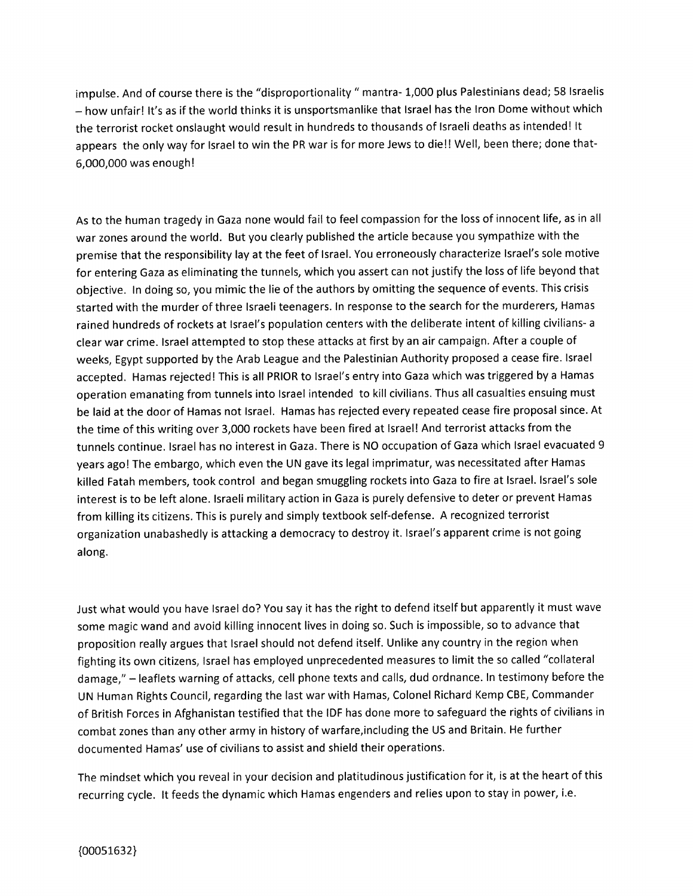impulse. And of course there is the "disproportionality " mantra- 1,000 plus Palestinians dead; 58 Israelis — how unfair! It's as if the world thinks it is unsportsmanlike that Israel has the Iron Dome without which the terrorist rocket onslaught would result in hundreds to thousands of Israeli deaths as intended! It appears the only way for Israel to win the PR war is for more Jews to die!! Well, been there; done that-6,000,000 was enough!

As to the human tragedy in Gaza none would fail to feel compassion for the loss of innocent life, as in all war zones around the world. But you clearly published the article because you sympathize with the premise that the responsibility lay at the feet of Israel. You erroneously characterize Israel's sole motive for entering Gaza as eliminating the tunnels, which you assert can not justify the loss of life beyond that objective. In doing so, you mimic the lie of the authors by omitting the sequence of events. This crisis started with the murder of three Israeli teenagers. In response to the search for the murderers, Hamas rained hundreds of rockets at Israel's population centers with the deliberate intent of killing civilians- <sup>a</sup> clear war crime. Israel attempted to stop these attacks at first by an air campaign. After <sup>a</sup> couple of weeks, Egypt supported by the Arab League and the Palestinian Authority proposed <sup>a</sup> cease fire. Israel accepted. Hamas rejected! This is all PRIOR to Israel's entry into Gaza which was triggered by <sup>a</sup> Hamas operation emanating from tunnels into Israel intended to kill civilians. Thus all casualties ensuing must be laid at the door of Hamas not Israel. Hamas has rejected every repeated cease fire proposal since. At the time of this writing over 3,000 rockets have been fired at Israel! And terrorist attacks from the tunnels continue. Israel has no interest in Gaza. There is NO occupation of Gaza which Israel evacuated <sup>9</sup> years ago! The embargo, which even the UN gave its legal imprimatur, was necessitated after Hamas killed Fatah members, took control and began smuggling rockets into Gaza to fire at Israel. Israel's sole interest is to be left alone. Israeli military action in Gaza is purely defensive to deter or prevent Hamas from killing its citizens. This is purely and simply textbook self-defense. <sup>A</sup> recognized terrorist organization unabashedly is attacking <sup>a</sup> democracy to destroy it. Israel's apparent crime is not going along.

Just what would you have Israel do? You say it has the right to defend itself but apparently it must wave some magic wand and avoid killing innocent lives in doing so. Such is impossible, so to advance that proposition really argues that Israel should not defend itself. Unlike any country in the region when fighting its own citizens, Israel has employed unprecedented measures to limit the so called "collateral damage," — leaflets warning of attacks, cell phone texts and calls, dud ordnance. In testimony before the UN Human Rights Council, regarding the last war with Hamas, Colonel Richard Kemp CBE, Commander of British Forces in Afghanistan testified that the IDF has done more to safeguard the rights of civilians in combat zones than any other army in history of warfare,including the US and Britain. He further documented Hamas' use of civilians to assist and shield their operations.

The mindset which you reveal in your decision and platitudinous justification for it, is at the heart of this recurring cycle. It feeds the dynamic which Hamas engenders and relies upon to stay in power, i.e.